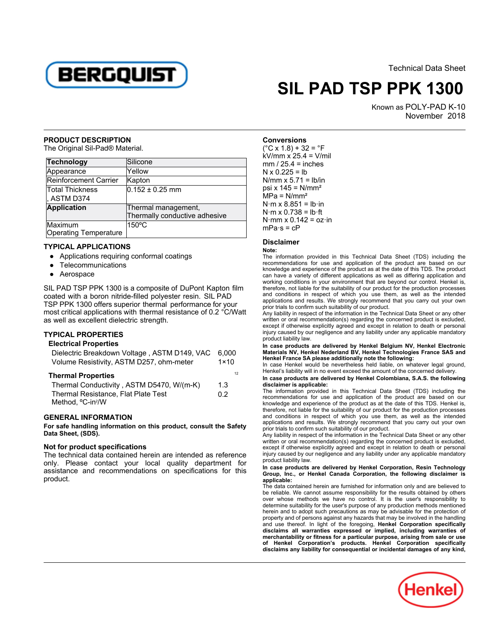

Technical Data Sheet

# **SIL PAD TSP PPK 1300**

Known as POLY-PAD K-10 n OLTH AD RETO<br>November 2018

#### **PRODUCT DESCRIPTION**

The Original Sil-Pad® Material.

| <b>Technology</b>     | Silicone                      |
|-----------------------|-------------------------------|
| Appearance            | Yellow                        |
| Reinforcement Carrier | Kapton                        |
| Total Thickness       | $0.152 \pm 0.25$ mm           |
| , ASTM D374           |                               |
| Application           | Thermal management,           |
|                       | Thermally conductive adhesive |
| Maximum               | $150^{\circ}$ C               |
| Operating Temperature |                               |

#### **TYPICAL APPLICATIONS**

- Applications requiring conformal coatings
- Telecommunications
- Aerospace

SIL PAD TSP PPK 1300 is a composite of DuPont Kapton film coated with a boron nitride-filled polyester resin. SIL PAD TSP PPK 1300 offers superior thermal performance for your most critical applications with thermal resistance of 0.2 °C/Watt most entical applications with thermal research.

## **TYPICAL PROPERTIES**

### **Electrical Properties**

| Dielectric Breakdown Voltage, ASTM D149, VAC<br>Volume Resistivity, ASTM D257, ohm-meter |     |
|------------------------------------------------------------------------------------------|-----|
| <b>Thermal Properties</b>                                                                | 12  |
| Thermal Conductivity, ASTM D5470, W/(m-K)                                                | 1.3 |
| Thermal Resistance, Flat Plate Test                                                      |     |
| $M$ othod $0$ in $2$ $M$                                                                 |     |

#### **GENERAL INFORMATION**

**For safe handling information on this product, consult the Safety Data Sheet, (SDS).**

## **Not for product specifications**

The technical data contained herein are intended as reference only. Please contact your local quality department for assistance and recommendations on specifications for this assistam<br>product.

**Conversions** $(^\circ$ C x 1.8) + 32 =  $^\circ$ F  $kV/mm \times 25.4 = V/mil$  $mm / 25.4 = inches$ N x 0.225 = lb N/mm  $\times$  5.71 = lb/in psi x  $145 = N/mm<sup>2</sup>$  $MPa = N/mm<sup>2</sup>$ N·m x 8.851 = lb·in  $N·m \times 0.738 = lb·ft$  $N·mm \times 0.142 = oz·in$ mPa·s = cP

## **Disclaimer**

#### **Note:**

 The information provided in this Technical Data Sheet (TDS) including the recommendations for use and application of the product are based on our knowledge and experience of the product as at the date of this TDS. The product can have a variety of different applications as well as differing application and working conditions in your environment that are beyond our control. Henkel is, therefore, not liable for the suitability of our product for the production processes and conditions in respect of which you use them, as well as the intended applications and results. We strongly recommend that you carry out your own prior trials to confirm such suitability of our product.

Any liability in respect of the information in the Technical Data Sheet or any otherwith the maximum in the commendation in the community and critical base of the concerned product is excluded, except if otherwise explicitly agreed and except in relation to death or personal injury caused by our negligence and any liability under any applicable mandatory product liability law.

 **In case products are delivered by Henkel Belgium NV, Henkel Electronic Materials NV, Henkel Nederland BV, Henkel Technologies France SAS and Henkel France SA please additionally note the following:** 

In case Henkel would be nevertheless held liable, on whatever legal ground, Henkel's liability will in no event exceed the amount of the concerned delivery.

**In case products are delivered by Henkel Colombiana, S.A.S. the following disclaimer is applicable:**

 The information provided in this Technical Data Sheet (TDS) including the recommendations for use and application of the product are based on our knowledge and experience of the product as at the date of this TDS. Henkel is, therefore, not liable for the suitability of our product for the production processes and conditions in respect of which you use them, as well as the intended applications and results. We strongly recommend that you carry out your own prior trials to confirm such suitability of our product.

 Any liability in respect of the information in the Technical Data Sheet or any other with the maximum in the commendation in the community and critical base of the concerned product is excluded, except if otherwise explicitly agreed and except in relation to death or personal injury caused by our negligence and any liability under any applicable mandatory product liability law.

#### **In case products are delivered by Henkel Corporation, Resin TechnologyGroup, Inc., or Henkel Canada Corporation, the following disclaimer is applicable:**

The data contained herein are furnished for information only and are believed to be reliable. We cannot assume responsibility for the results obtained by others over whose methods we have no control. It is the user's responsibility to determine suitability for the user's purpose of any production methods mentioned herein and to adopt such precautions as may be advisable for the protection of property and of persons against any hazards that may be involved in the handling and use thereof. In light of the foregoing, **Henkel Corporation specifically disclaims all warranties expressed or implied, including warranties of merchantability or fitness for a particular purpose, arising from sale or use of Henkel Corporation's products. Henkel Corporation specifically disclaims any liability for consequential or incidental damages of any kind,**